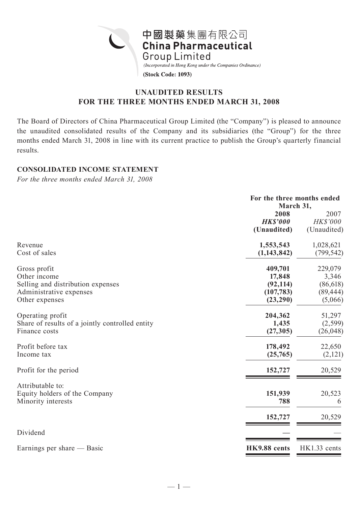

# **UNAUDITED RESULTS FOR THE THREE MONTHS ENDED MARCH 31, 2008**

The Board of Directors of China Pharmaceutical Group Limited (the "Company") is pleased to announce the unaudited consolidated results of the Company and its subsidiaries (the "Group") for the three months ended March 31, 2008 in line with its current practice to publish the Group's quarterly financial results.

## **CONSOLIDATED INCOME STATEMENT**

*For the three months ended March 31, 2008*

|                                                 |                         | For the three months ended<br>March 31, |  |  |
|-------------------------------------------------|-------------------------|-----------------------------------------|--|--|
|                                                 | 2008<br><b>HK\$'000</b> | 2007<br><b>HK\$'000</b>                 |  |  |
|                                                 | (Unaudited)             | (Unaudited)                             |  |  |
| Revenue                                         | 1,553,543               | 1,028,621                               |  |  |
| Cost of sales                                   | (1, 143, 842)           | (799, 542)                              |  |  |
| Gross profit                                    | 409,701                 | 229,079                                 |  |  |
| Other income                                    | 17,848                  | 3,346                                   |  |  |
| Selling and distribution expenses               | (92, 114)               | (86, 618)                               |  |  |
| Administrative expenses                         | (107, 783)              | (89, 444)                               |  |  |
| Other expenses                                  | (23, 290)               | (5,066)                                 |  |  |
| Operating profit                                | 204,362                 | 51,297                                  |  |  |
| Share of results of a jointly controlled entity | 1,435                   | (2, 599)                                |  |  |
| Finance costs                                   | (27, 305)               | (26, 048)                               |  |  |
| Profit before tax                               | 178,492                 | 22,650                                  |  |  |
| Income tax                                      | (25,765)                | (2,121)                                 |  |  |
| Profit for the period                           | 152,727                 | 20,529                                  |  |  |
| Attributable to:                                |                         |                                         |  |  |
| Equity holders of the Company                   | 151,939                 | 20,523                                  |  |  |
| Minority interests                              | 788                     | 6                                       |  |  |
|                                                 | 152,727                 | 20,529                                  |  |  |
| Dividend                                        |                         |                                         |  |  |
| Earnings per share — Basic                      | HK9.88 cents            | HK1.33 cents                            |  |  |
|                                                 |                         |                                         |  |  |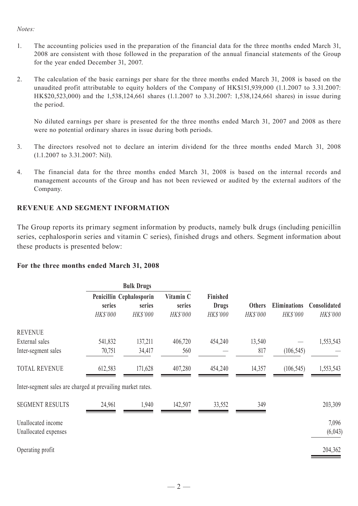### *Notes:*

- 1. The accounting policies used in the preparation of the financial data for the three months ended March 31, 2008 are consistent with those followed in the preparation of the annual financial statements of the Group for the year ended December 31, 2007.
- 2. The calculation of the basic earnings per share for the three months ended March 31, 2008 is based on the unaudited profit attributable to equity holders of the Company of HK\$151,939,000 (1.1.2007 to 3.31.2007: HK\$20,523,000) and the 1,538,124,661 shares (1.1.2007 to 3.31.2007: 1,538,124,661 shares) in issue during the period.

No diluted earnings per share is presented for the three months ended March 31, 2007 and 2008 as there were no potential ordinary shares in issue during both periods.

- 3. The directors resolved not to declare an interim dividend for the three months ended March 31, 2008 (1.1.2007 to 3.31.2007: Nil).
- 4. The financial data for the three months ended March 31, 2008 is based on the internal records and management accounts of the Group and has not been reviewed or audited by the external auditors of the Company.

## **REVENUE AND SEGMENT INFORMATION**

The Group reports its primary segment information by products, namely bulk drugs (including penicillin series, cephalosporin series and vitamin C series), finished drugs and others. Segment information about these products is presented below:

### **For the three months ended March 31, 2008**

|                                                             | <b>Bulk Drugs</b> |                          |           |              |               |                     |              |
|-------------------------------------------------------------|-------------------|--------------------------|-----------|--------------|---------------|---------------------|--------------|
|                                                             |                   | Penicillin Cephalosporin | Vitamin C | Finished     |               |                     |              |
|                                                             | series            | series                   | series    | <b>Drugs</b> | <b>Others</b> | <b>Eliminations</b> | Consolidated |
|                                                             | HK\$'000          | HK\$'000                 | HK\$'000  | HK\$'000     | HK\$'000      | HK\$'000            | HK\$'000     |
| <b>REVENUE</b>                                              |                   |                          |           |              |               |                     |              |
| External sales                                              | 541,832           | 137,211                  | 406,720   | 454,240      | 13,540        |                     | 1,553,543    |
| Inter-segment sales                                         | 70,751            | 34,417                   | 560       |              | 817           | (106, 545)          |              |
| <b>TOTAL REVENUE</b>                                        | 612,583           | 171,628                  | 407,280   | 454,240      | 14,357        | (106, 545)          | 1,553,543    |
| Inter-segment sales are charged at prevailing market rates. |                   |                          |           |              |               |                     |              |
| <b>SEGMENT RESULTS</b>                                      | 24,961            | 1,940                    | 142,507   | 33,552       | 349           |                     | 203,309      |
| Unallocated income                                          |                   |                          |           |              |               |                     | 7,096        |
| Unallocated expenses                                        |                   |                          |           |              |               |                     | (6,043)      |
| Operating profit                                            |                   |                          |           |              |               |                     | 204,362      |